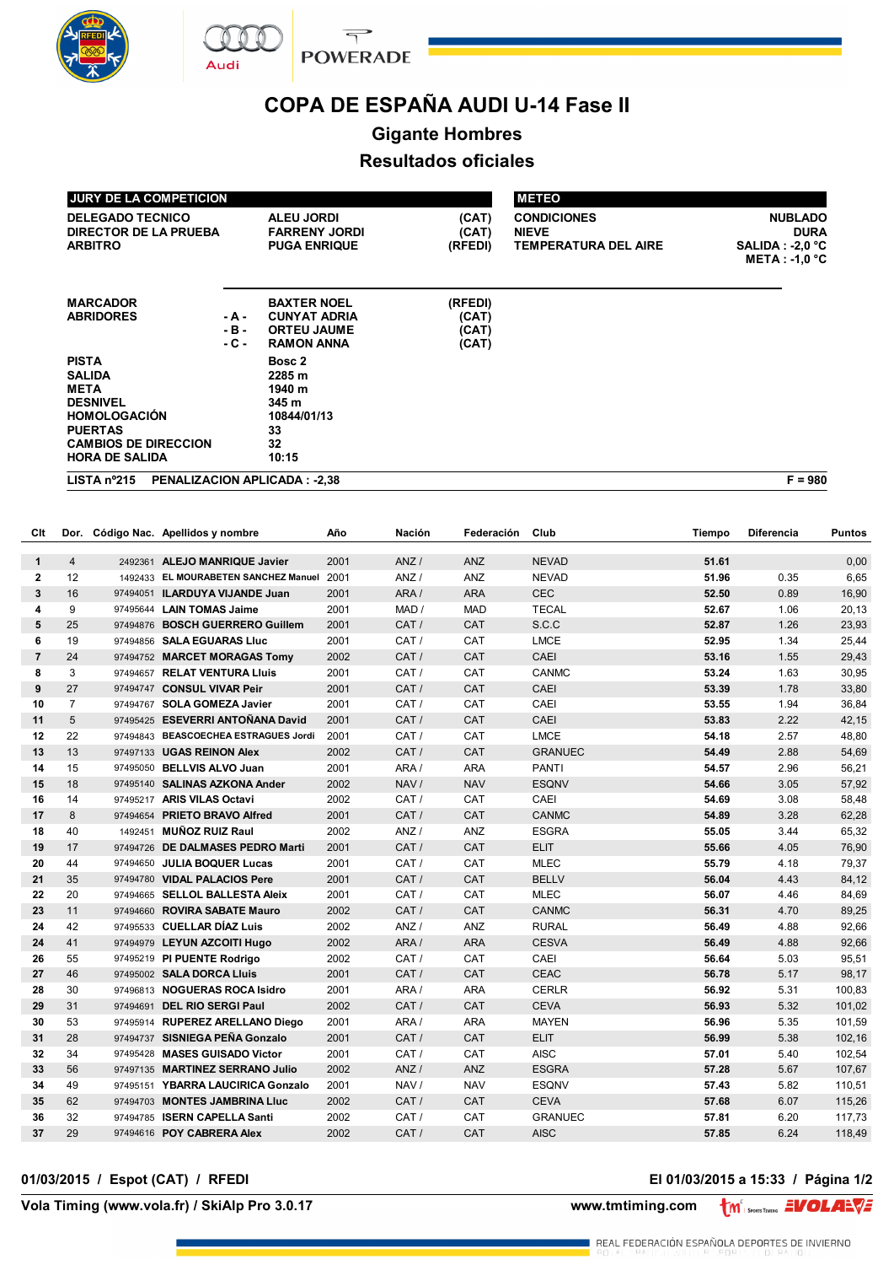





# **COPA DE ESPAÑA AUDI U-14 Fase II**

## **Gigante Hombres**

### **Resultados oficiales**

| <b>JURY DE LA COMPETICION</b>                                                                                                                                    |                           |                                                                                      |                                    | <b>METEO</b>                                                      |                                                                         |
|------------------------------------------------------------------------------------------------------------------------------------------------------------------|---------------------------|--------------------------------------------------------------------------------------|------------------------------------|-------------------------------------------------------------------|-------------------------------------------------------------------------|
| <b>DELEGADO TECNICO</b><br><b>DIRECTOR DE LA PRUEBA</b><br><b>ARBITRO</b>                                                                                        |                           | <b>ALEU JORDI</b><br><b>FARRENY JORDI</b><br><b>PUGA ENRIQUE</b>                     | (CAT)<br>(CAT)<br>(RFEDI)          | <b>CONDICIONES</b><br><b>NIEVE</b><br><b>TEMPERATURA DEL AIRE</b> | <b>NUBLADO</b><br><b>DURA</b><br>$SALIDA : -2,0$ °C<br>$META : -1.0 °C$ |
| <b>MARCADOR</b><br><b>ABRIDORES</b>                                                                                                                              | - A -<br>$-B -$<br>$-C -$ | <b>BAXTER NOEL</b><br><b>CUNYAT ADRIA</b><br><b>ORTEU JAUME</b><br><b>RAMON ANNA</b> | (RFEDI)<br>(CAT)<br>(CAT)<br>(CAT) |                                                                   |                                                                         |
| <b>PISTA</b><br><b>SALIDA</b><br><b>META</b><br><b>DESNIVEL</b><br><b>HOMOLOGACIÓN</b><br><b>PUERTAS</b><br><b>CAMBIOS DE DIRECCION</b><br><b>HORA DE SALIDA</b> |                           | Bosc 2<br>2285 m<br>1940 m<br>345 m<br>10844/01/13<br>33<br>32<br>10:15              |                                    |                                                                   |                                                                         |
| LISTA n <sup>o</sup> 215                                                                                                                                         |                           | <b>PENALIZACION APLICADA: -2.38</b>                                                  |                                    |                                                                   | $F = 980$                                                               |

| Clt            |                |          | Dor. Código Nac. Apellidos y nombre  | Año  | Nación | Federación | Club           | Tiempo | <b>Diferencia</b> | Puntos |
|----------------|----------------|----------|--------------------------------------|------|--------|------------|----------------|--------|-------------------|--------|
| 1              | $\overline{4}$ |          | 2492361 ALEJO MANRIQUE Javier        | 2001 | ANZ/   | <b>ANZ</b> | <b>NEVAD</b>   | 51.61  |                   | 0,00   |
| $\mathbf{2}$   | 12             |          | 1492433 EL MOURABETEN SANCHEZ Manuel | 2001 | ANZ/   | ANZ        | <b>NEVAD</b>   | 51.96  | 0.35              | 6,65   |
| 3              | 16             |          | 97494051 ILARDUYA VIJANDE Juan       | 2001 | ARA/   | <b>ARA</b> | <b>CEC</b>     | 52.50  | 0.89              | 16,90  |
| 4              | 9              |          | 97495644 LAIN TOMAS Jaime            | 2001 | MAD /  | <b>MAD</b> | <b>TECAL</b>   | 52.67  | 1.06              | 20,13  |
| 5              | 25             |          | 97494876 BOSCH GUERRERO Guillem      | 2001 | CAT /  | CAT        | S.C.C          | 52.87  | 1.26              | 23,93  |
| 6              | 19             |          | 97494856 SALA EGUARAS Lluc           | 2001 | CAT /  | CAT        | <b>LMCE</b>    | 52.95  | 1.34              | 25,44  |
| $\overline{7}$ | 24             |          | 97494752 MARCET MORAGAS Tomy         | 2002 | CAT /  | CAT        | <b>CAEI</b>    | 53.16  | 1.55              | 29,43  |
| 8              | 3              |          | 97494657 RELAT VENTURA Lluis         | 2001 | CAT /  | CAT        | <b>CANMC</b>   | 53.24  | 1.63              | 30,95  |
| 9              | 27             |          | 97494747 CONSUL VIVAR Peir           | 2001 | CAT /  | CAT        | CAEI           | 53.39  | 1.78              | 33,80  |
| 10             | $\overline{7}$ |          | 97494767 SOLA GOMEZA Javier          | 2001 | CAT /  | CAT        | CAEI           | 53.55  | 1.94              | 36,84  |
| 11             | 5              |          | 97495425 ESEVERRI ANTOÑANA David     | 2001 | CAT /  | <b>CAT</b> | CAEI           | 53.83  | 2.22              | 42,15  |
| 12             | 22             |          | 97494843 BEASCOECHEA ESTRAGUES Jordi | 2001 | CAT /  | CAT        | <b>LMCE</b>    | 54.18  | 2.57              | 48,80  |
| 13             | 13             |          | 97497133 UGAS REINON Alex            | 2002 | CAT /  | CAT        | <b>GRANUEC</b> | 54.49  | 2.88              | 54,69  |
| 14             | 15             | 97495050 | <b>BELLVIS ALVO Juan</b>             | 2001 | ARA/   | <b>ARA</b> | <b>PANTI</b>   | 54.57  | 2.96              | 56,21  |
| 15             | 18             |          | 97495140 SALINAS AZKONA Ander        | 2002 | NAV /  | <b>NAV</b> | <b>ESQNV</b>   | 54.66  | 3.05              | 57,92  |
| 16             | 14             |          | 97495217 ARIS VILAS Octavi           | 2002 | CAT /  | CAT        | CAEI           | 54.69  | 3.08              | 58,48  |
| 17             | 8              | 97494654 | <b>PRIETO BRAVO Alfred</b>           | 2001 | CAT /  | CAT        | <b>CANMC</b>   | 54.89  | 3.28              | 62,28  |
| 18             | 40             | 1492451  | <b>MUÑOZ RUIZ Raul</b>               | 2002 | ANZ/   | <b>ANZ</b> | <b>ESGRA</b>   | 55.05  | 3.44              | 65,32  |
| 19             | 17             | 97494726 | DE DALMASES PEDRO Marti              | 2001 | CAT /  | CAT        | <b>ELIT</b>    | 55.66  | 4.05              | 76,90  |
| 20             | 44             | 97494650 | <b>JULIA BOQUER Lucas</b>            | 2001 | CAT /  | CAT        | <b>MLEC</b>    | 55.79  | 4.18              | 79,37  |
| 21             | 35             |          | 97494780 VIDAL PALACIOS Pere         | 2001 | CAT /  | CAT        | <b>BELLV</b>   | 56.04  | 4.43              | 84,12  |
| 22             | 20             |          | 97494665 SELLOL BALLESTA Aleix       | 2001 | CAT /  | CAT        | <b>MLEC</b>    | 56.07  | 4.46              | 84,69  |
| 23             | 11             | 97494660 | <b>ROVIRA SABATE Mauro</b>           | 2002 | CAT/   | CAT        | <b>CANMC</b>   | 56.31  | 4.70              | 89,25  |
| 24             | 42             |          | 97495533 CUELLAR DÍAZ Luis           | 2002 | ANZ /  | ANZ        | <b>RURAL</b>   | 56.49  | 4.88              | 92,66  |
| 24             | 41             |          | 97494979 LEYUN AZCOITI Hugo          | 2002 | ARA/   | <b>ARA</b> | <b>CESVA</b>   | 56.49  | 4.88              | 92,66  |
| 26             | 55             |          | 97495219 PI PUENTE Rodrigo           | 2002 | CAT /  | CAT        | CAEI           | 56.64  | 5.03              | 95,51  |
| 27             | 46             |          | 97495002 SALA DORCA Lluis            | 2001 | CAT /  | CAT        | <b>CEAC</b>    | 56.78  | 5.17              | 98,17  |
| 28             | 30             |          | 97496813 NOGUERAS ROCA Isidro        | 2001 | ARA/   | <b>ARA</b> | <b>CERLR</b>   | 56.92  | 5.31              | 100,83 |
| 29             | 31             | 97494691 | <b>DEL RIO SERGI Paul</b>            | 2002 | CAT /  | CAT        | <b>CEVA</b>    | 56.93  | 5.32              | 101,02 |
| 30             | 53             |          | 97495914 RUPEREZ ARELLANO Diego      | 2001 | ARA /  | <b>ARA</b> | <b>MAYEN</b>   | 56.96  | 5.35              | 101,59 |
| 31             | 28             |          | 97494737 SISNIEGA PEÑA Gonzalo       | 2001 | CAT /  | CAT        | <b>ELIT</b>    | 56.99  | 5.38              | 102,16 |
| 32             | 34             |          | 97495428 MASES GUISADO Victor        | 2001 | CAT /  | CAT        | <b>AISC</b>    | 57.01  | 5.40              | 102,54 |
| 33             | 56             | 97497135 | <b>MARTINEZ SERRANO Julio</b>        | 2002 | ANZ/   | <b>ANZ</b> | <b>ESGRA</b>   | 57.28  | 5.67              | 107,67 |
| 34             | 49             |          | 97495151 YBARRA LAUCIRICA Gonzalo    | 2001 | NAV /  | <b>NAV</b> | <b>ESQNV</b>   | 57.43  | 5.82              | 110,51 |
| 35             | 62             |          | 97494703 MONTES JAMBRINA Lluc        | 2002 | CAT /  | CAT        | <b>CEVA</b>    | 57.68  | 6.07              | 115,26 |
| 36             | 32             |          | 97494785 ISERN CAPELLA Santi         | 2002 | CAT /  | CAT        | <b>GRANUEC</b> | 57.81  | 6.20              | 117,73 |
| 37             | 29             |          | 97494616 POY CABRERA Alex            | 2002 | CAT /  | CAT        | <b>AISC</b>    | 57.85  | 6.24              | 118,49 |

#### **01/03/2015 / Espot (CAT) / RFEDI El 01/03/2015 a 15:33 / Página 1/2**

**Vola Timing (www.vola.fr) / SkiAlp Pro 3.0.17 www.tmtiming.com** 

*<u>UOLANTS</u>*